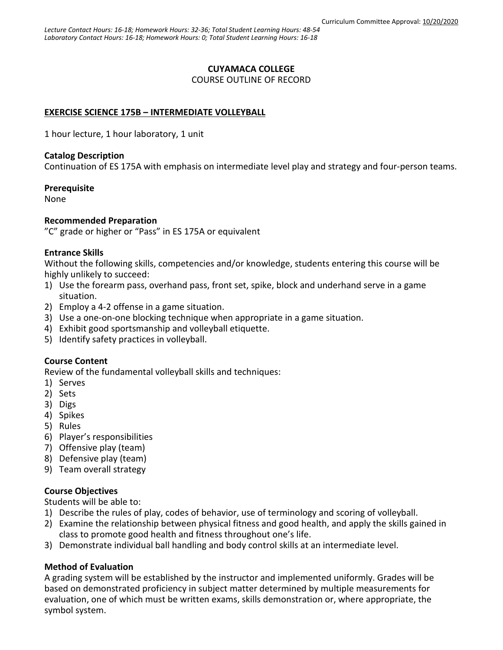## **CUYAMACA COLLEGE**

COURSE OUTLINE OF RECORD

# **EXERCISE SCIENCE 175B – INTERMEDIATE VOLLEYBALL**

1 hour lecture, 1 hour laboratory, 1 unit

#### **Catalog Description**

Continuation of ES 175A with emphasis on intermediate level play and strategy and four-person teams.

#### **Prerequisite**

None

## **Recommended Preparation**

"C" grade or higher or "Pass" in ES 175A or equivalent

## **Entrance Skills**

Without the following skills, competencies and/or knowledge, students entering this course will be highly unlikely to succeed:

- 1) Use the forearm pass, overhand pass, front set, spike, block and underhand serve in a game situation.
- 2) Employ a 4-2 offense in a game situation.
- 3) Use a one-on-one blocking technique when appropriate in a game situation.
- 4) Exhibit good sportsmanship and volleyball etiquette.
- 5) Identify safety practices in volleyball.

## **Course Content**

Review of the fundamental volleyball skills and techniques:

- 1) Serves
- 2) Sets
- 3) Digs
- 4) Spikes
- 5) Rules
- 6) Player's responsibilities
- 7) Offensive play (team)
- 8) Defensive play (team)
- 9) Team overall strategy

## **Course Objectives**

Students will be able to:

- 1) Describe the rules of play, codes of behavior, use of terminology and scoring of volleyball.
- 2) Examine the relationship between physical fitness and good health, and apply the skills gained in class to promote good health and fitness throughout one's life.
- 3) Demonstrate individual ball handling and body control skills at an intermediate level.

## **Method of Evaluation**

A grading system will be established by the instructor and implemented uniformly. Grades will be based on demonstrated proficiency in subject matter determined by multiple measurements for evaluation, one of which must be written exams, skills demonstration or, where appropriate, the symbol system.